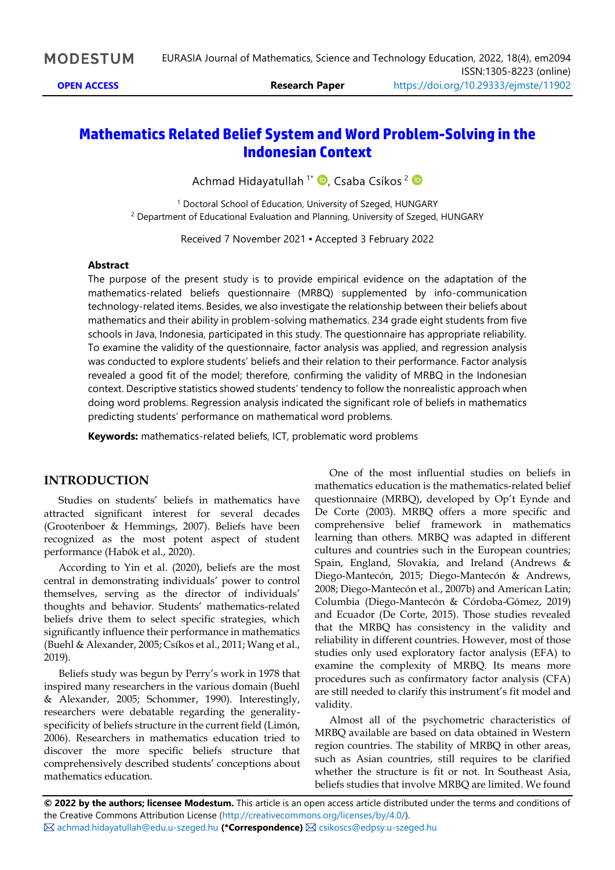# **Mathematics Related Belief System and Word Problem-Solving in the Indonesian Context**

Achmad Hidayatullah <sup>1\*</sup> D[,](https://orcid.org/0000-0002-7223-6771) Csaba Csíkos <sup>2</sup>

<sup>1</sup> Doctoral School of Education, University of Szeged, HUNGARY <sup>2</sup> Department of Educational Evaluation and Planning, University of Szeged, HUNGARY

Received 7 November 2021 ▪ Accepted 3 February 2022

### **Abstract**

The purpose of the present study is to provide empirical evidence on the adaptation of the mathematics-related beliefs questionnaire (MRBQ) supplemented by info-communication technology-related items. Besides, we also investigate the relationship between their beliefs about mathematics and their ability in problem-solving mathematics. 234 grade eight students from five schools in Java, Indonesia, participated in this study. The questionnaire has appropriate reliability. To examine the validity of the questionnaire, factor analysis was applied, and regression analysis was conducted to explore students' beliefs and their relation to their performance. Factor analysis revealed a good fit of the model; therefore, confirming the validity of MRBQ in the Indonesian context. Descriptive statistics showed students' tendency to follow the nonrealistic approach when doing word problems. Regression analysis indicated the significant role of beliefs in mathematics predicting students' performance on mathematical word problems.

**Keywords:** mathematics-related beliefs, ICT, problematic word problems

### **INTRODUCTION**

Studies on students' beliefs in mathematics have attracted significant interest for several decades (Grootenboer & Hemmings, 2007). Beliefs have been recognized as the most potent aspect of student performance (Habók et al., 2020).

According to Yin et al. (2020), beliefs are the most central in demonstrating individuals' power to control themselves, serving as the director of individuals' thoughts and behavior. Students' mathematics-related beliefs drive them to select specific strategies, which significantly influence their performance in mathematics (Buehl & Alexander, 2005; Csíkos et al., 2011; Wang et al., 2019).

Beliefs study was begun by Perry's work in 1978 that inspired many researchers in the various domain (Buehl & Alexander, 2005; Schommer, 1990). Interestingly, researchers were debatable regarding the generalityspecificity of beliefs structure in the current field (Limón, 2006). Researchers in mathematics education tried to discover the more specific beliefs structure that comprehensively described students' conceptions about mathematics education.

One of the most influential studies on beliefs in mathematics education is the mathematics-related belief questionnaire (MRBQ), developed by Op't Eynde and De Corte (2003). MRBQ offers a more specific and comprehensive belief framework in mathematics learning than others. MRBQ was adapted in different cultures and countries such in the European countries; Spain, England, Slovakia, and Ireland (Andrews & Diego-Mantecón, 2015; Diego-Mantecón & Andrews, 2008; Diego-Mantecón et al., 2007b) and American Latin; Columbia (Diego-Mantecón & Córdoba-Gómez, 2019) and Ecuador (De Corte, 2015). Those studies revealed that the MRBQ has consistency in the validity and reliability in different countries. However, most of those studies only used exploratory factor analysis (EFA) to examine the complexity of MRBQ. Its means more procedures such as confirmatory factor analysis (CFA) are still needed to clarify this instrument's fit model and validity.

Almost all of the psychometric characteristics of MRBQ available are based on data obtained in Western region countries. The stability of MRBQ in other areas, such as Asian countries, still requires to be clarified whether the structure is fit or not. In Southeast Asia, beliefs studies that involve MRBQ are limited. We found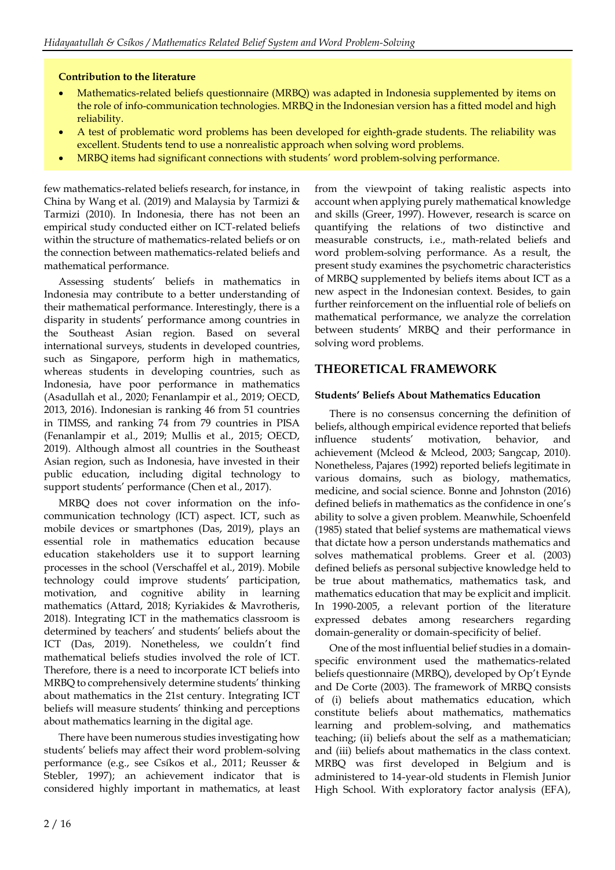### **Contribution to the literature**

- Mathematics-related beliefs questionnaire (MRBQ) was adapted in Indonesia supplemented by items on the role of info-communication technologies. MRBQ in the Indonesian version has a fitted model and high reliability.
- A test of problematic word problems has been developed for eighth-grade students. The reliability was excellent. Students tend to use a nonrealistic approach when solving word problems.
- MRBQ items had significant connections with students' word problem-solving performance.

few mathematics-related beliefs research, for instance, in China by Wang et al. (2019) and Malaysia by Tarmizi & Tarmizi (2010). In Indonesia, there has not been an empirical study conducted either on ICT-related beliefs within the structure of mathematics-related beliefs or on the connection between mathematics-related beliefs and mathematical performance.

Assessing students' beliefs in mathematics in Indonesia may contribute to a better understanding of their mathematical performance. Interestingly, there is a disparity in students' performance among countries in the Southeast Asian region. Based on several international surveys, students in developed countries, such as Singapore, perform high in mathematics, whereas students in developing countries, such as Indonesia, have poor performance in mathematics (Asadullah et al., 2020; Fenanlampir et al., 2019; OECD, 2013, 2016). Indonesian is ranking 46 from 51 countries in TIMSS, and ranking 74 from 79 countries in PISA (Fenanlampir et al., 2019; Mullis et al., 2015; OECD, 2019). Although almost all countries in the Southeast Asian region, such as Indonesia, have invested in their public education, including digital technology to support students' performance (Chen et al., 2017).

MRBQ does not cover information on the infocommunication technology (ICT) aspect. ICT, such as mobile devices or smartphones (Das, 2019), plays an essential role in mathematics education because education stakeholders use it to support learning processes in the school (Verschaffel et al., 2019). Mobile technology could improve students' participation, motivation, and cognitive ability in learning mathematics (Attard, 2018; Kyriakides & Mavrotheris, 2018). Integrating ICT in the mathematics classroom is determined by teachers' and students' beliefs about the ICT (Das, 2019). Nonetheless, we couldn't find mathematical beliefs studies involved the role of ICT. Therefore, there is a need to incorporate ICT beliefs into MRBQ to comprehensively determine students' thinking about mathematics in the 21st century. Integrating ICT beliefs will measure students' thinking and perceptions about mathematics learning in the digital age.

There have been numerous studies investigating how students' beliefs may affect their word problem-solving performance (e.g., see Csíkos et al., 2011; Reusser & Stebler, 1997); an achievement indicator that is considered highly important in mathematics, at least from the viewpoint of taking realistic aspects into account when applying purely mathematical knowledge and skills (Greer, 1997). However, research is scarce on quantifying the relations of two distinctive and measurable constructs, i.e., math-related beliefs and word problem-solving performance. As a result, the present study examines the psychometric characteristics of MRBQ supplemented by beliefs items about ICT as a new aspect in the Indonesian context. Besides, to gain further reinforcement on the influential role of beliefs on mathematical performance, we analyze the correlation between students' MRBQ and their performance in solving word problems.

### **THEORETICAL FRAMEWORK**

### **Students' Beliefs About Mathematics Education**

There is no consensus concerning the definition of beliefs, although empirical evidence reported that beliefs influence students' motivation, behavior, and achievement (Mcleod & Mcleod, 2003; Sangcap, 2010). Nonetheless, Pajares (1992) reported beliefs legitimate in various domains, such as biology, mathematics, medicine, and social science. Bonne and Johnston (2016) defined beliefs in mathematics as the confidence in one's ability to solve a given problem. Meanwhile, Schoenfeld (1985) stated that belief systems are mathematical views that dictate how a person understands mathematics and solves mathematical problems. Greer et al. (2003) defined beliefs as personal subjective knowledge held to be true about mathematics, mathematics task, and mathematics education that may be explicit and implicit. In 1990-2005, a relevant portion of the literature expressed debates among researchers regarding domain-generality or domain-specificity of belief.

One of the most influential belief studies in a domainspecific environment used the mathematics-related beliefs questionnaire (MRBQ), developed by Op't Eynde and De Corte (2003). The framework of MRBQ consists of (i) beliefs about mathematics education, which constitute beliefs about mathematics, mathematics learning and problem-solving, and mathematics teaching; (ii) beliefs about the self as a mathematician; and (iii) beliefs about mathematics in the class context. MRBQ was first developed in Belgium and is administered to 14-year-old students in Flemish Junior High School. With exploratory factor analysis (EFA),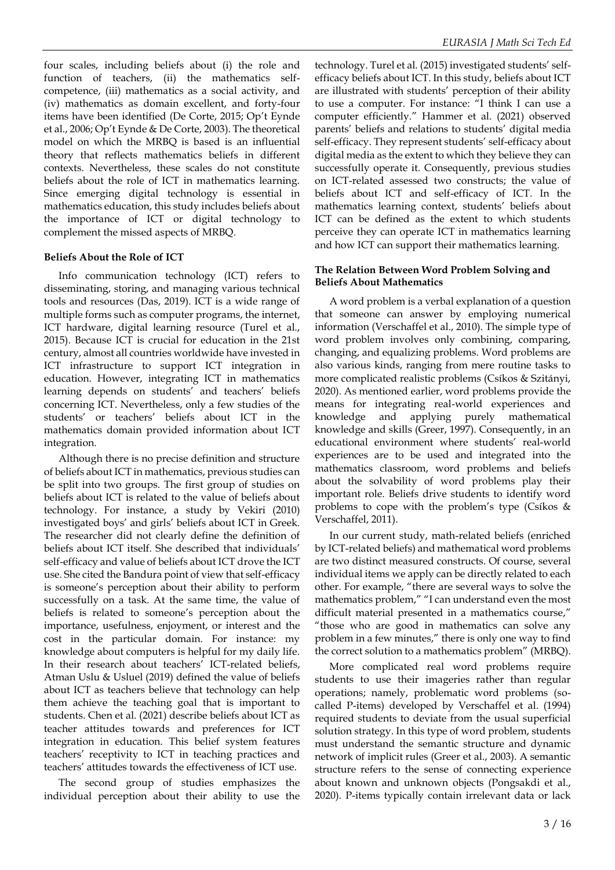four scales, including beliefs about (i) the role and function of teachers, (ii) the mathematics selfcompetence, (iii) mathematics as a social activity, and (iv) mathematics as domain excellent, and forty-four items have been identified (De Corte, 2015; Op't Eynde et al., 2006; Op't Eynde & De Corte, 2003). The theoretical model on which the MRBQ is based is an influential theory that reflects mathematics beliefs in different contexts. Nevertheless, these scales do not constitute beliefs about the role of ICT in mathematics learning. Since emerging digital technology is essential in mathematics education, this study includes beliefs about the importance of ICT or digital technology to complement the missed aspects of MRBQ.

### **Beliefs About the Role of ICT**

Info communication technology (ICT) refers to disseminating, storing, and managing various technical tools and resources (Das, 2019). ICT is a wide range of multiple forms such as computer programs, the internet, ICT hardware, digital learning resource (Turel et al., 2015). Because ICT is crucial for education in the 21st century, almost all countries worldwide have invested in ICT infrastructure to support ICT integration in education. However, integrating ICT in mathematics learning depends on students' and teachers' beliefs concerning ICT. Nevertheless, only a few studies of the students' or teachers' beliefs about ICT in the mathematics domain provided information about ICT integration.

Although there is no precise definition and structure of beliefs about ICT in mathematics, previous studies can be split into two groups. The first group of studies on beliefs about ICT is related to the value of beliefs about technology. For instance, a study by Vekiri (2010) investigated boys' and girls' beliefs about ICT in Greek. The researcher did not clearly define the definition of beliefs about ICT itself. She described that individuals' self-efficacy and value of beliefs about ICT drove the ICT use. She cited the Bandura point of view that self-efficacy is someone's perception about their ability to perform successfully on a task. At the same time, the value of beliefs is related to someone's perception about the importance, usefulness, enjoyment, or interest and the cost in the particular domain. For instance: my knowledge about computers is helpful for my daily life. In their research about teachers' ICT-related beliefs, Atman Uslu & Usluel (2019) defined the value of beliefs about ICT as teachers believe that technology can help them achieve the teaching goal that is important to students. Chen et al. (2021) describe beliefs about ICT as teacher attitudes towards and preferences for ICT integration in education. This belief system features teachers' receptivity to ICT in teaching practices and teachers' attitudes towards the effectiveness of ICT use.

The second group of studies emphasizes the individual perception about their ability to use the

technology. Turel et al. (2015) investigated students' selfefficacy beliefs about ICT. In this study, beliefs about ICT are illustrated with students' perception of their ability to use a computer. For instance: "I think I can use a computer efficiently." Hammer et al. (2021) observed parents' beliefs and relations to students' digital media self-efficacy. They represent students' self-efficacy about digital media as the extent to which they believe they can successfully operate it. Consequently, previous studies on ICT-related assessed two constructs; the value of beliefs about ICT and self-efficacy of ICT. In the mathematics learning context, students' beliefs about ICT can be defined as the extent to which students perceive they can operate ICT in mathematics learning and how ICT can support their mathematics learning.

#### **The Relation Between Word Problem Solving and Beliefs About Mathematics**

A word problem is a verbal explanation of a question that someone can answer by employing numerical information (Verschaffel et al., 2010). The simple type of word problem involves only combining, comparing, changing, and equalizing problems. Word problems are also various kinds, ranging from mere routine tasks to more complicated realistic problems (Csíkos & Szitányi, 2020). As mentioned earlier, word problems provide the means for integrating real-world experiences and knowledge and applying purely mathematical knowledge and skills (Greer, 1997). Consequently, in an educational environment where students' real-world experiences are to be used and integrated into the mathematics classroom, word problems and beliefs about the solvability of word problems play their important role. Beliefs drive students to identify word problems to cope with the problem's type (Csíkos  $\&$ Verschaffel, 2011).

In our current study, math-related beliefs (enriched by ICT-related beliefs) and mathematical word problems are two distinct measured constructs. Of course, several individual items we apply can be directly related to each other. For example, "there are several ways to solve the mathematics problem," "I can understand even the most difficult material presented in a mathematics course," "those who are good in mathematics can solve any problem in a few minutes," there is only one way to find the correct solution to a mathematics problem" (MRBQ).

More complicated real word problems require students to use their imageries rather than regular operations; namely, problematic word problems (socalled P-items) developed by Verschaffel et al. (1994) required students to deviate from the usual superficial solution strategy. In this type of word problem, students must understand the semantic structure and dynamic network of implicit rules (Greer et al., 2003). A semantic structure refers to the sense of connecting experience about known and unknown objects (Pongsakdi et al., 2020). P-items typically contain irrelevant data or lack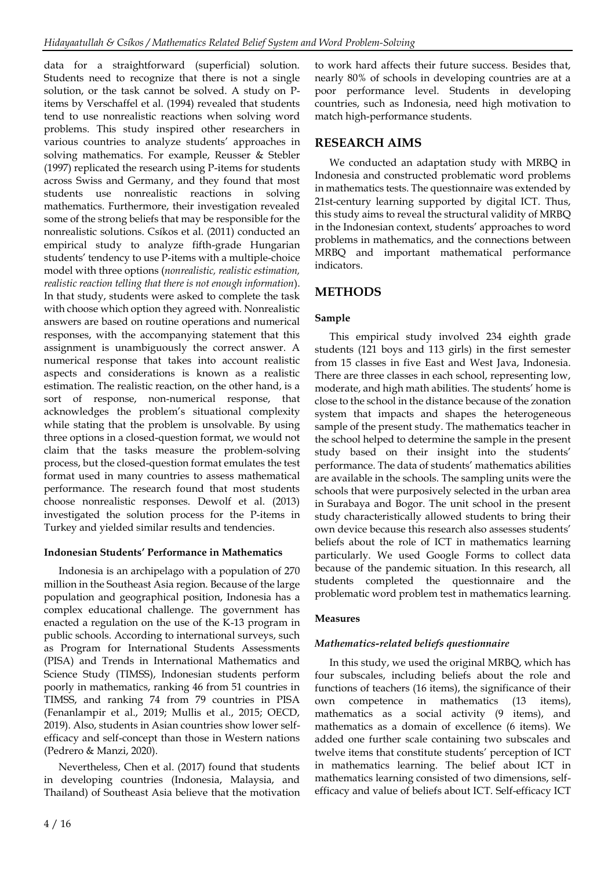data for a straightforward (superficial) solution. Students need to recognize that there is not a single solution, or the task cannot be solved. A study on Pitems by Verschaffel et al. (1994) revealed that students tend to use nonrealistic reactions when solving word problems. This study inspired other researchers in various countries to analyze students' approaches in solving mathematics. For example, Reusser & Stebler (1997) replicated the research using P-items for students across Swiss and Germany, and they found that most students use nonrealistic reactions in solving mathematics. Furthermore, their investigation revealed some of the strong beliefs that may be responsible for the nonrealistic solutions. Csíkos et al. (2011) conducted an empirical study to analyze fifth-grade Hungarian students' tendency to use P-items with a multiple-choice model with three options (*nonrealistic, realistic estimation, realistic reaction telling that there is not enough information*). In that study, students were asked to complete the task with choose which option they agreed with. Nonrealistic answers are based on routine operations and numerical responses, with the accompanying statement that this assignment is unambiguously the correct answer. A numerical response that takes into account realistic aspects and considerations is known as a realistic estimation. The realistic reaction, on the other hand, is a sort of response, non-numerical response, that acknowledges the problem's situational complexity while stating that the problem is unsolvable. By using three options in a closed-question format, we would not claim that the tasks measure the problem-solving process, but the closed-question format emulates the test format used in many countries to assess mathematical performance. The research found that most students choose nonrealistic responses. Dewolf et al. (2013) investigated the solution process for the P-items in Turkey and yielded similar results and tendencies.

### **Indonesian Students' Performance in Mathematics**

Indonesia is an archipelago with a population of 270 million in the Southeast Asia region. Because of the large population and geographical position, Indonesia has a complex educational challenge. The government has enacted a regulation on the use of the K-13 program in public schools. According to international surveys, such as Program for International Students Assessments (PISA) and Trends in International Mathematics and Science Study (TIMSS), Indonesian students perform poorly in mathematics, ranking 46 from 51 countries in TIMSS, and ranking 74 from 79 countries in PISA (Fenanlampir et al., 2019; Mullis et al., 2015; OECD, 2019). Also, students in Asian countries show lower selfefficacy and self-concept than those in Western nations (Pedrero & Manzi, 2020).

Nevertheless, Chen et al. (2017) found that students in developing countries (Indonesia, Malaysia, and Thailand) of Southeast Asia believe that the motivation

to work hard affects their future success. Besides that, nearly 80% of schools in developing countries are at a poor performance level. Students in developing countries, such as Indonesia, need high motivation to match high-performance students.

## **RESEARCH AIMS**

We conducted an adaptation study with MRBQ in Indonesia and constructed problematic word problems in mathematics tests. The questionnaire was extended by 21st-century learning supported by digital ICT. Thus, this study aims to reveal the structural validity of MRBQ in the Indonesian context, students' approaches to word problems in mathematics, and the connections between MRBQ and important mathematical performance indicators.

## **METHODS**

### **Sample**

This empirical study involved 234 eighth grade students (121 boys and 113 girls) in the first semester from 15 classes in five East and West Java, Indonesia. There are three classes in each school, representing low, moderate, and high math abilities. The students' home is close to the school in the distance because of the zonation system that impacts and shapes the heterogeneous sample of the present study. The mathematics teacher in the school helped to determine the sample in the present study based on their insight into the students' performance. The data of students' mathematics abilities are available in the schools. The sampling units were the schools that were purposively selected in the urban area in Surabaya and Bogor. The unit school in the present study characteristically allowed students to bring their own device because this research also assesses students' beliefs about the role of ICT in mathematics learning particularly. We used Google Forms to collect data because of the pandemic situation. In this research, all students completed the questionnaire and the problematic word problem test in mathematics learning.

### **Measures**

### *Mathematics-related beliefs questionnaire*

In this study, we used the original MRBQ, which has four subscales, including beliefs about the role and functions of teachers (16 items), the significance of their own competence in mathematics (13 items), mathematics as a social activity (9 items), and mathematics as a domain of excellence (6 items). We added one further scale containing two subscales and twelve items that constitute students' perception of ICT in mathematics learning. The belief about ICT in mathematics learning consisted of two dimensions, selfefficacy and value of beliefs about ICT. Self-efficacy ICT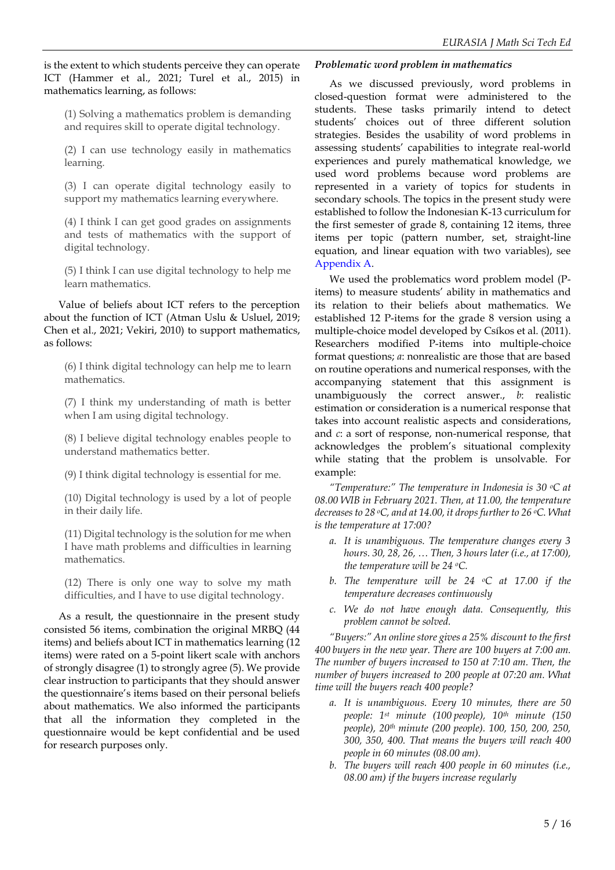is the extent to which students perceive they can operate ICT (Hammer et al., 2021; Turel et al., 2015) in mathematics learning, as follows:

(1) Solving a mathematics problem is demanding and requires skill to operate digital technology.

(2) I can use technology easily in mathematics learning.

(3) I can operate digital technology easily to support my mathematics learning everywhere.

(4) I think I can get good grades on assignments and tests of mathematics with the support of digital technology.

(5) I think I can use digital technology to help me learn mathematics.

Value of beliefs about ICT refers to the perception about the function of ICT (Atman Uslu & Usluel, 2019; Chen et al., 2021; Vekiri, 2010) to support mathematics, as follows:

(6) I think digital technology can help me to learn mathematics.

(7) I think my understanding of math is better when I am using digital technology.

(8) I believe digital technology enables people to understand mathematics better.

(9) I think digital technology is essential for me.

(10) Digital technology is used by a lot of people in their daily life.

(11) Digital technology is the solution for me when I have math problems and difficulties in learning mathematics.

(12) There is only one way to solve my math difficulties, and I have to use digital technology.

As a result, the questionnaire in the present study consisted 56 items, combination the original MRBQ (44 items) and beliefs about ICT in mathematics learning (12 items) were rated on a 5-point likert scale with anchors of strongly disagree (1) to strongly agree (5). We provide clear instruction to participants that they should answer the questionnaire's items based on their personal beliefs about mathematics. We also informed the participants that all the information they completed in the questionnaire would be kept confidential and be used for research purposes only.

### *Problematic word problem in mathematics*

As we discussed previously, word problems in closed-question format were administered to the students. These tasks primarily intend to detect students' choices out of three different solution strategies. Besides the usability of word problems in assessing students' capabilities to integrate real-world experiences and purely mathematical knowledge, we used word problems because word problems are represented in a variety of topics for students in secondary schools. The topics in the present study were established to follow the Indonesian K-13 curriculum for the first semester of grade 8, containing 12 items, three items per topic (pattern number, set, straight-line equation, and linear equation with two variables), see Appendix A.

We used the problematics word problem model (Pitems) to measure students' ability in mathematics and its relation to their beliefs about mathematics. We established 12 P-items for the grade 8 version using a multiple-choice model developed by Csíkos et al. (2011). Researchers modified P-items into multiple-choice format questions; *a*: nonrealistic are those that are based on routine operations and numerical responses, with the accompanying statement that this assignment is unambiguously the correct answer., *b*: realistic estimation or consideration is a numerical response that takes into account realistic aspects and considerations, and *c*: a sort of response, non-numerical response, that acknowledges the problem's situational complexity while stating that the problem is unsolvable. For example:

*"Temperature:" The temperature in Indonesia is 30 oC at 08.00 WIB in February 2021. Then, at 11.00, the temperature decreases to 28 oC, and at 14.00, it drops further to 26 oC. What is the temperature at 17:00?*

- *a. It is unambiguous. The temperature changes every 3 hours. 30, 28, 26, … Then, 3 hours later (i.e., at 17:00), the temperature will be 24 oC.*
- *b. The temperature will be 24 oC at 17.00 if the temperature decreases continuously*
- *c. We do not have enough data. Consequently, this problem cannot be solved.*

*"Buyers:" An online store gives a 25% discount to the first 400 buyers in the new year. There are 100 buyers at 7:00 am. The number of buyers increased to 150 at 7:10 am. Then, the number of buyers increased to 200 people at 07:20 am. What time will the buyers reach 400 people?*

- *a. It is unambiguous. Every 10 minutes, there are 50 people: 1st minute (100 people), 10th minute (150 people), 20th minute (200 people). 100, 150, 200, 250, 300, 350, 400. That means the buyers will reach 400 people in 60 minutes (08.00 am).*
- *b. The buyers will reach 400 people in 60 minutes (i.e., 08.00 am) if the buyers increase regularly*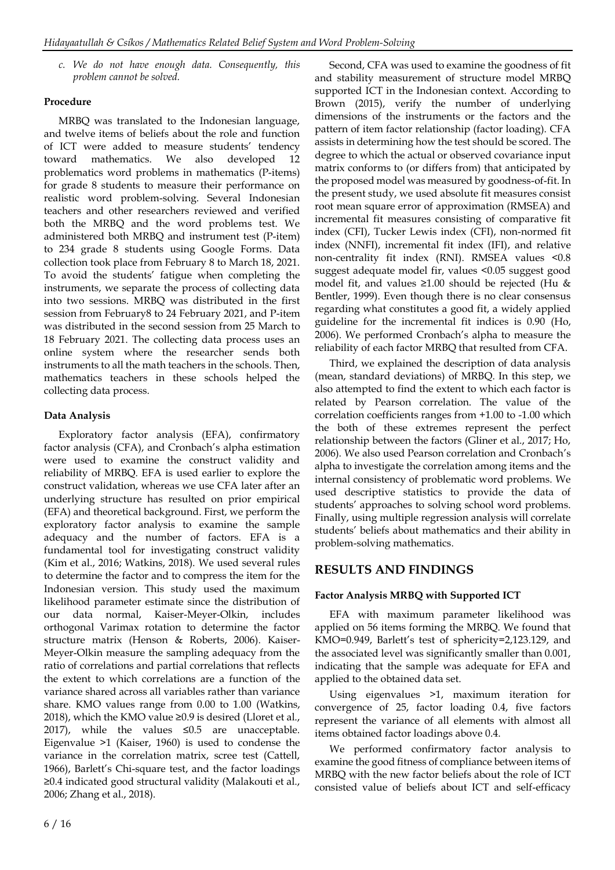*c. We do not have enough data. Consequently, this problem cannot be solved.*

### **Procedure**

MRBQ was translated to the Indonesian language, and twelve items of beliefs about the role and function of ICT were added to measure students' tendency toward mathematics. We also developed 12 problematics word problems in mathematics (P-items) for grade 8 students to measure their performance on realistic word problem-solving. Several Indonesian teachers and other researchers reviewed and verified both the MRBQ and the word problems test. We administered both MRBQ and instrument test (P-item) to 234 grade 8 students using Google Forms. Data collection took place from February 8 to March 18, 2021. To avoid the students' fatigue when completing the instruments, we separate the process of collecting data into two sessions. MRBQ was distributed in the first session from February8 to 24 February 2021, and P-item was distributed in the second session from 25 March to 18 February 2021. The collecting data process uses an online system where the researcher sends both instruments to all the math teachers in the schools. Then, mathematics teachers in these schools helped the collecting data process.

### **Data Analysis**

Exploratory factor analysis (EFA), confirmatory factor analysis (CFA), and Cronbach's alpha estimation were used to examine the construct validity and reliability of MRBQ. EFA is used earlier to explore the construct validation, whereas we use CFA later after an underlying structure has resulted on prior empirical (EFA) and theoretical background. First, we perform the exploratory factor analysis to examine the sample adequacy and the number of factors. EFA is a fundamental tool for investigating construct validity (Kim et al., 2016; Watkins, 2018). We used several rules to determine the factor and to compress the item for the Indonesian version. This study used the maximum likelihood parameter estimate since the distribution of our data normal, Kaiser-Meyer-Olkin, includes orthogonal Varimax rotation to determine the factor structure matrix (Henson & Roberts, 2006). Kaiser-Meyer-Olkin measure the sampling adequacy from the ratio of correlations and partial correlations that reflects the extent to which correlations are a function of the variance shared across all variables rather than variance share. KMO values range from 0.00 to 1.00 (Watkins, 2018), which the KMO value ≥0.9 is desired (Lloret et al., 2017), while the values ≤0.5 are unacceptable. Eigenvalue >1 (Kaiser, 1960) is used to condense the variance in the correlation matrix, scree test (Cattell, 1966), Barlett's Chi-square test, and the factor loadings ≥0.4 indicated good structural validity (Malakouti et al., 2006; Zhang et al., 2018).

Second, CFA was used to examine the goodness of fit and stability measurement of structure model MRBQ supported ICT in the Indonesian context. According to Brown (2015), verify the number of underlying dimensions of the instruments or the factors and the pattern of item factor relationship (factor loading). CFA assists in determining how the test should be scored. The degree to which the actual or observed covariance input matrix conforms to (or differs from) that anticipated by the proposed model was measured by goodness-of-fit. In the present study, we used absolute fit measures consist root mean square error of approximation (RMSEA) and incremental fit measures consisting of comparative fit index (CFI), Tucker Lewis index (CFI), non-normed fit index (NNFI), incremental fit index (IFI), and relative non-centrality fit index (RNI). RMSEA values <0.8 suggest adequate model fir, values <0.05 suggest good model fit, and values  $\geq 1.00$  should be rejected (Hu & Bentler, 1999). Even though there is no clear consensus regarding what constitutes a good fit, a widely applied guideline for the incremental fit indices is 0.90 (Ho, 2006). We performed Cronbach's alpha to measure the reliability of each factor MRBQ that resulted from CFA.

Third, we explained the description of data analysis (mean, standard deviations) of MRBQ. In this step, we also attempted to find the extent to which each factor is related by Pearson correlation. The value of the correlation coefficients ranges from +1.00 to -1.00 which the both of these extremes represent the perfect relationship between the factors (Gliner et al., 2017; Ho, 2006). We also used Pearson correlation and Cronbach's alpha to investigate the correlation among items and the internal consistency of problematic word problems. We used descriptive statistics to provide the data of students' approaches to solving school word problems. Finally, using multiple regression analysis will correlate students' beliefs about mathematics and their ability in problem-solving mathematics.

## **RESULTS AND FINDINGS**

### **Factor Analysis MRBQ with Supported ICT**

EFA with maximum parameter likelihood was applied on 56 items forming the MRBQ. We found that KMO=0.949, Barlett's test of sphericity=2,123.129, and the associated level was significantly smaller than 0.001, indicating that the sample was adequate for EFA and applied to the obtained data set.

Using eigenvalues >1, maximum iteration for convergence of 25, factor loading 0.4, five factors represent the variance of all elements with almost all items obtained factor loadings above 0.4.

We performed confirmatory factor analysis to examine the good fitness of compliance between items of MRBQ with the new factor beliefs about the role of ICT consisted value of beliefs about ICT and self-efficacy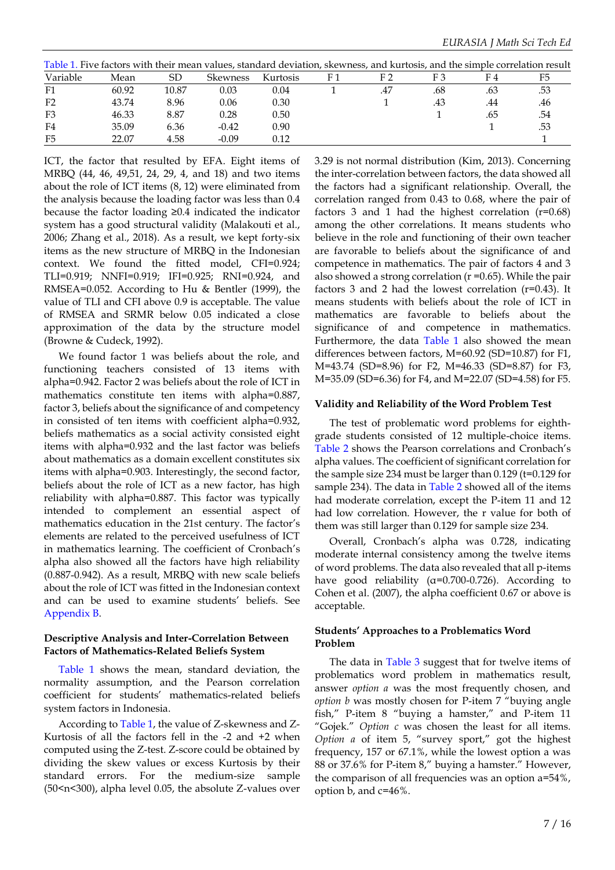| Table 1. Five factors with their mean values, standard deviation, skewness, and kurtosis, and the simple correlation result |       |       |          |          |  |     |     |     |     |
|-----------------------------------------------------------------------------------------------------------------------------|-------|-------|----------|----------|--|-----|-----|-----|-----|
| Variable                                                                                                                    | Mean  | SD    | Skewness | Kurtosis |  |     |     | F4  |     |
| F1                                                                                                                          | 60.92 | 10.87 | 0.03     | 0.04     |  | .47 | .68 | .63 | .53 |
| F <sub>2</sub>                                                                                                              | 43.74 | 8.96  | 0.06     | 0.30     |  |     | .43 | .44 | .46 |
| F3                                                                                                                          | 46.33 | 8.87  | 0.28     | 0.50     |  |     |     | .65 | .54 |
| F4                                                                                                                          | 35.09 | 6.36  | $-0.42$  | 0.90     |  |     |     |     | .53 |
| F <sub>5</sub>                                                                                                              | 22.07 | 4.58  | $-0.09$  | 0.12     |  |     |     |     |     |

ICT, the factor that resulted by EFA. Eight items of MRBQ (44, 46, 49,51, 24, 29, 4, and 18) and two items about the role of ICT items (8, 12) were eliminated from the analysis because the loading factor was less than 0.4 because the factor loading ≥0.4 indicated the indicator system has a good structural validity (Malakouti et al., 2006; Zhang et al., 2018). As a result, we kept forty-six items as the new structure of MRBQ in the Indonesian context. We found the fitted model, CFI=0.924; TLI=0.919; NNFI=0.919; IFI=0.925; RNI=0.924, and RMSEA=0.052. According to Hu & Bentler (1999), the value of TLI and CFI above 0.9 is acceptable. The value of RMSEA and SRMR below 0.05 indicated a close approximation of the data by the structure model (Browne & Cudeck, 1992).

We found factor 1 was beliefs about the role, and functioning teachers consisted of 13 items with alpha=0.942. Factor 2 was beliefs about the role of ICT in mathematics constitute ten items with alpha=0.887, factor 3, beliefs about the significance of and competency in consisted of ten items with coefficient alpha=0.932, beliefs mathematics as a social activity consisted eight items with alpha=0.932 and the last factor was beliefs about mathematics as a domain excellent constitutes six items with alpha=0.903. Interestingly, the second factor, beliefs about the role of ICT as a new factor, has high reliability with alpha=0.887. This factor was typically intended to complement an essential aspect of mathematics education in the 21st century. The factor's elements are related to the perceived usefulness of ICT in mathematics learning. The coefficient of Cronbach's alpha also showed all the factors have high reliability (0.887-0.942). As a result, MRBQ with new scale beliefs about the role of ICT was fitted in the Indonesian context and can be used to examine students' beliefs. See Appendix B.

#### **Descriptive Analysis and Inter-Correlation Between Factors of Mathematics-Related Beliefs System**

Table 1 shows the mean, standard deviation, the normality assumption, and the Pearson correlation coefficient for students' mathematics-related beliefs system factors in Indonesia.

According to Table 1, the value of Z-skewness and Z-Kurtosis of all the factors fell in the -2 and +2 when computed using the Z-test. Z-score could be obtained by dividing the skew values or excess Kurtosis by their standard errors. For the medium-size sample (50<n<300), alpha level 0.05, the absolute Z-values over 3.29 is not normal distribution (Kim, 2013). Concerning the inter-correlation between factors, the data showed all the factors had a significant relationship. Overall, the correlation ranged from 0.43 to 0.68, where the pair of factors 3 and 1 had the highest correlation  $(r=0.68)$ among the other correlations. It means students who believe in the role and functioning of their own teacher are favorable to beliefs about the significance of and competence in mathematics. The pair of factors 4 and 3 also showed a strong correlation ( $r = 0.65$ ). While the pair factors 3 and 2 had the lowest correlation (r=0.43). It means students with beliefs about the role of ICT in mathematics are favorable to beliefs about the significance of and competence in mathematics. Furthermore, the data Table 1 also showed the mean differences between factors, M=60.92 (SD=10.87) for F1, M=43.74 (SD=8.96) for F2, M=46.33 (SD=8.87) for F3, M=35.09 (SD=6.36) for F4, and M=22.07 (SD=4.58) for F5.

### **Validity and Reliability of the Word Problem Test**

The test of problematic word problems for eighthgrade students consisted of 12 multiple-choice items. Table 2 shows the Pearson correlations and Cronbach's alpha values. The coefficient of significant correlation for the sample size 234 must be larger than 0.129 (t=0.129 for sample 234). The data in Table 2 showed all of the items had moderate correlation, except the P-item 11 and 12 had low correlation. However, the r value for both of them was still larger than 0.129 for sample size 234.

Overall, Cronbach's alpha was 0.728, indicating moderate internal consistency among the twelve items of word problems. The data also revealed that all p-items have good reliability ( $\alpha$ =0.700-0.726). According to Cohen et al. (2007), the alpha coefficient 0.67 or above is acceptable.

### **Students' Approaches to a Problematics Word Problem**

The data in Table 3 suggest that for twelve items of problematics word problem in mathematics result, answer *option a* was the most frequently chosen, and *option b* was mostly chosen for P-item 7 "buying angle fish," P-item 8 "buying a hamster," and P-item 11 "Gojek." *Option c* was chosen the least for all items. *Option a* of item 5, "survey sport," got the highest frequency, 157 or 67.1%, while the lowest option a was 88 or 37.6% for P-item 8," buying a hamster." However, the comparison of all frequencies was an option a=54%, option b, and c=46%.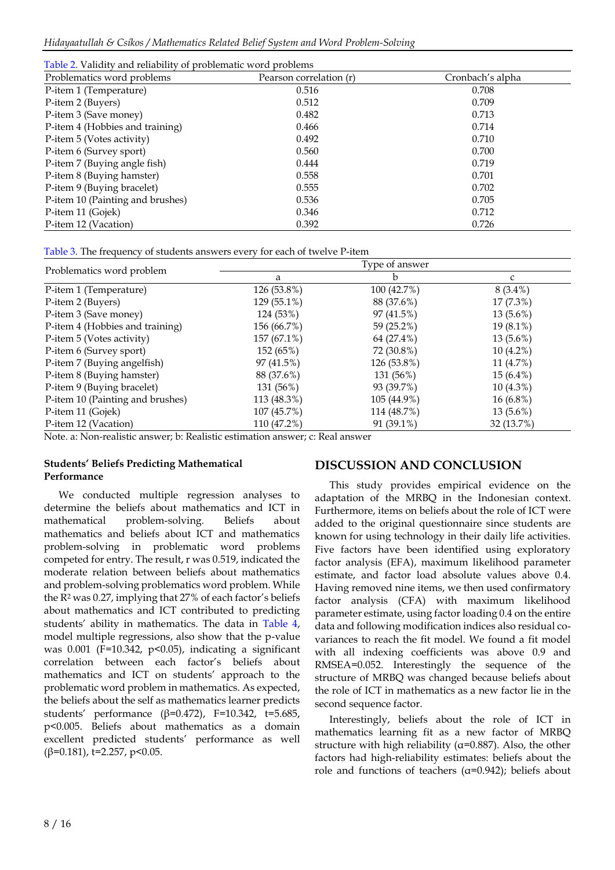| Table 2. Validity and reliability of problematic word problems |                         |                  |  |  |  |  |  |
|----------------------------------------------------------------|-------------------------|------------------|--|--|--|--|--|
| Problematics word problems                                     | Pearson correlation (r) | Cronbach's alpha |  |  |  |  |  |
| P-item 1 (Temperature)                                         | 0.516                   | 0.708            |  |  |  |  |  |
| P-item 2 (Buyers)                                              | 0.512                   | 0.709            |  |  |  |  |  |
| P-item 3 (Save money)                                          | 0.482                   | 0.713            |  |  |  |  |  |
| P-item 4 (Hobbies and training)                                | 0.466                   | 0.714            |  |  |  |  |  |
| P-item 5 (Votes activity)                                      | 0.492                   | 0.710            |  |  |  |  |  |
| P-item 6 (Survey sport)                                        | 0.560                   | 0.700            |  |  |  |  |  |
| P-item 7 (Buying angle fish)                                   | 0.444                   | 0.719            |  |  |  |  |  |
| P-item 8 (Buying hamster)                                      | 0.558                   | 0.701            |  |  |  |  |  |
| P-item 9 (Buying bracelet)                                     | 0.555                   | 0.702            |  |  |  |  |  |
| P-item 10 (Painting and brushes)                               | 0.536                   | 0.705            |  |  |  |  |  |
| P-item 11 (Gojek)                                              | 0.346                   | 0.712            |  |  |  |  |  |
| P-item 12 (Vacation)                                           | 0.392                   | 0.726            |  |  |  |  |  |

Table 3. The frequency of students answers every for each of twelve P-item

| Problematics word problem        | b<br>a      |             |             |
|----------------------------------|-------------|-------------|-------------|
| P-item 1 (Temperature)           | 126 (53.8%) | 100 (42.7%) | $8(3.4\%)$  |
| P-item 2 (Buyers)                | 129 (55.1%) | 88 (37.6%)  | $17(7.3\%)$ |
| P-item 3 (Save money)            | 124 (53%)   | 97 (41.5%)  | $13(5.6\%)$ |
| P-item 4 (Hobbies and training)  | 156 (66.7%) | 59 (25.2%)  | 19 (8.1%)   |
| P-item 5 (Votes activity)        | 157 (67.1%) | 64 (27.4%)  | $13(5.6\%)$ |
| P-item 6 (Survey sport)          | 152 (65%)   | 72 (30.8%)  | $10(4.2\%)$ |
| P-item 7 (Buying angelfish)      | 97 (41.5%)  | 126 (53.8%) | 11 (4.7%)   |
| P-item 8 (Buying hamster)        | 88 (37.6%)  | 131 (56%)   | $15(6.4\%)$ |
| P-item 9 (Buying bracelet)       | 131 (56%)   | 93 (39.7%)  | $10(4.3\%)$ |
| P-item 10 (Painting and brushes) | 113 (48.3%) | 105 (44.9%) | $16(6.8\%)$ |
| P-item 11 (Gojek)                | 107 (45.7%) | 114 (48.7%) | $13(5.6\%)$ |
| P-item 12 (Vacation)             | 110 (47.2%) | 91 (39.1%)  | 32 (13.7%)  |

Note. a: Non-realistic answer; b: Realistic estimation answer; c: Real answer

### **Students' Beliefs Predicting Mathematical Performance**

We conducted multiple regression analyses to determine the beliefs about mathematics and ICT in mathematical problem-solving. Beliefs about mathematics and beliefs about ICT and mathematics problem-solving in problematic word problems competed for entry. The result, r was 0.519, indicated the moderate relation between beliefs about mathematics and problem-solving problematics word problem. While the R<sup>2</sup> was 0.27, implying that 27% of each factor's beliefs about mathematics and ICT contributed to predicting students' ability in mathematics. The data in Table 4, model multiple regressions, also show that the p-value was  $0.001$  (F=10.342, p<0.05), indicating a significant correlation between each factor's beliefs about mathematics and ICT on students' approach to the problematic word problem in mathematics. As expected, the beliefs about the self as mathematics learner predicts students' performance (β=0.472), F=10.342, t=5.685, p<0.005. Beliefs about mathematics as a domain excellent predicted students' performance as well ( $\beta$ =0.181), t=2.257, p<0.05.

## **DISCUSSION AND CONCLUSION**

This study provides empirical evidence on the adaptation of the MRBQ in the Indonesian context. Furthermore, items on beliefs about the role of ICT were added to the original questionnaire since students are known for using technology in their daily life activities. Five factors have been identified using exploratory factor analysis (EFA), maximum likelihood parameter estimate, and factor load absolute values above 0.4. Having removed nine items, we then used confirmatory factor analysis (CFA) with maximum likelihood parameter estimate, using factor loading 0.4 on the entire data and following modification indices also residual covariances to reach the fit model. We found a fit model with all indexing coefficients was above 0.9 and RMSEA=0.052. Interestingly the sequence of the structure of MRBQ was changed because beliefs about the role of ICT in mathematics as a new factor lie in the second sequence factor.

Interestingly, beliefs about the role of ICT in mathematics learning fit as a new factor of MRBQ structure with high reliability ( $\alpha$ =0.887). Also, the other factors had high-reliability estimates: beliefs about the role and functions of teachers (α=0.942); beliefs about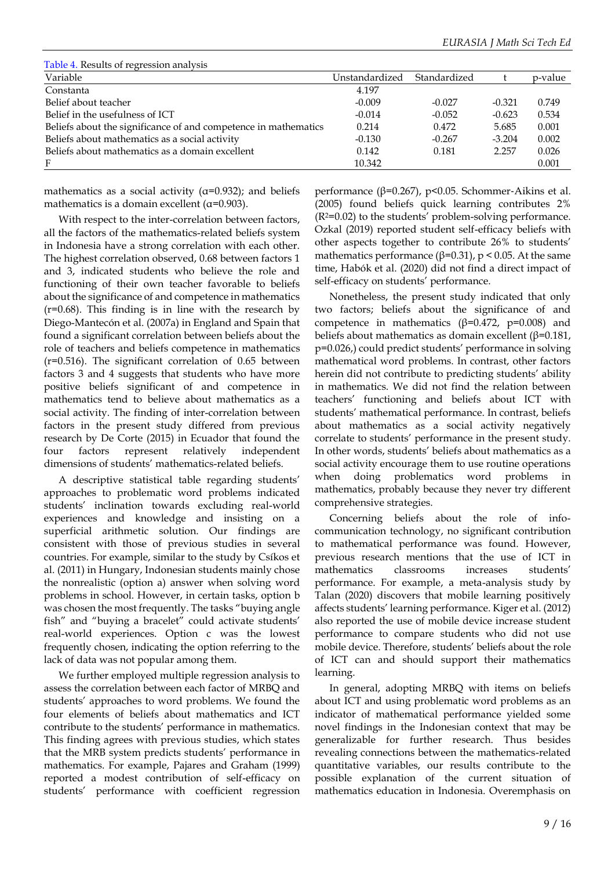| Table 4. Results of regression analysis                         |                |              |          |         |
|-----------------------------------------------------------------|----------------|--------------|----------|---------|
| Variable                                                        | Unstandardized | Standardized |          | p-value |
| Constanta                                                       | 4.197          |              |          |         |
| Belief about teacher                                            | $-0.009$       | $-0.027$     | $-0.321$ | 0.749   |
| Belief in the usefulness of ICT                                 | $-0.014$       | $-0.052$     | $-0.623$ | 0.534   |
| Beliefs about the significance of and competence in mathematics | 0.214          | 0.472        | 5.685    | 0.001   |
| Beliefs about mathematics as a social activity                  | $-0.130$       | $-0.267$     | $-3.204$ | 0.002   |
| Beliefs about mathematics as a domain excellent                 | 0.142          | 0.181        | 2.257    | 0.026   |
| F                                                               | 10.342         |              |          | 0.001   |

mathematics as a social activity ( $\alpha$ =0.932); and beliefs mathematics is a domain excellent ( $\alpha$ =0.903).

With respect to the inter-correlation between factors, all the factors of the mathematics-related beliefs system in Indonesia have a strong correlation with each other. The highest correlation observed, 0.68 between factors 1 and 3, indicated students who believe the role and functioning of their own teacher favorable to beliefs about the significance of and competence in mathematics (r=0.68). This finding is in line with the research by Diego-Mantecón et al. (2007a) in England and Spain that found a significant correlation between beliefs about the role of teachers and beliefs competence in mathematics (r=0.516). The significant correlation of 0.65 between factors 3 and 4 suggests that students who have more positive beliefs significant of and competence in mathematics tend to believe about mathematics as a social activity. The finding of inter-correlation between factors in the present study differed from previous research by De Corte (2015) in Ecuador that found the four factors represent relatively independent dimensions of students' mathematics-related beliefs.

A descriptive statistical table regarding students' approaches to problematic word problems indicated students' inclination towards excluding real-world experiences and knowledge and insisting on a superficial arithmetic solution. Our findings are consistent with those of previous studies in several countries. For example, similar to the study by Csíkos et al. (2011) in Hungary, Indonesian students mainly chose the nonrealistic (option a) answer when solving word problems in school. However, in certain tasks, option b was chosen the most frequently. The tasks "buying angle fish" and "buying a bracelet" could activate students' real-world experiences. Option c was the lowest frequently chosen, indicating the option referring to the lack of data was not popular among them.

We further employed multiple regression analysis to assess the correlation between each factor of MRBQ and students' approaches to word problems. We found the four elements of beliefs about mathematics and ICT contribute to the students' performance in mathematics. This finding agrees with previous studies, which states that the MRB system predicts students' performance in mathematics. For example, Pajares and Graham (1999) reported a modest contribution of self-efficacy on students' performance with coefficient regression

performance (β=0.267), p<0.05. Schommer‐Aikins et al. (2005) found beliefs quick learning contributes 2% (R2=0.02) to the students' problem-solving performance. Ozkal (2019) reported student self-efficacy beliefs with other aspects together to contribute 26% to students' mathematics performance ( $\beta$ =0.31), p < 0.05. At the same time, Habók et al. (2020) did not find a direct impact of self-efficacy on students' performance.

Nonetheless, the present study indicated that only two factors; beliefs about the significance of and competence in mathematics ( $β=0.472$ ,  $p=0.008$ ) and beliefs about mathematics as domain excellent ( $\beta$ =0.181, p=0.026,) could predict students' performance in solving mathematical word problems. In contrast, other factors herein did not contribute to predicting students' ability in mathematics. We did not find the relation between teachers' functioning and beliefs about ICT with students' mathematical performance. In contrast, beliefs about mathematics as a social activity negatively correlate to students' performance in the present study. In other words, students' beliefs about mathematics as a social activity encourage them to use routine operations when doing problematics word problems in mathematics, probably because they never try different comprehensive strategies.

Concerning beliefs about the role of infocommunication technology, no significant contribution to mathematical performance was found. However, previous research mentions that the use of ICT in mathematics classrooms increases students' performance. For example, a meta-analysis study by Talan (2020) discovers that mobile learning positively affects students' learning performance. Kiger et al. (2012) also reported the use of mobile device increase student performance to compare students who did not use mobile device. Therefore, students' beliefs about the role of ICT can and should support their mathematics learning.

In general, adopting MRBQ with items on beliefs about ICT and using problematic word problems as an indicator of mathematical performance yielded some novel findings in the Indonesian context that may be generalizable for further research. Thus besides revealing connections between the mathematics-related quantitative variables, our results contribute to the possible explanation of the current situation of mathematics education in Indonesia. Overemphasis on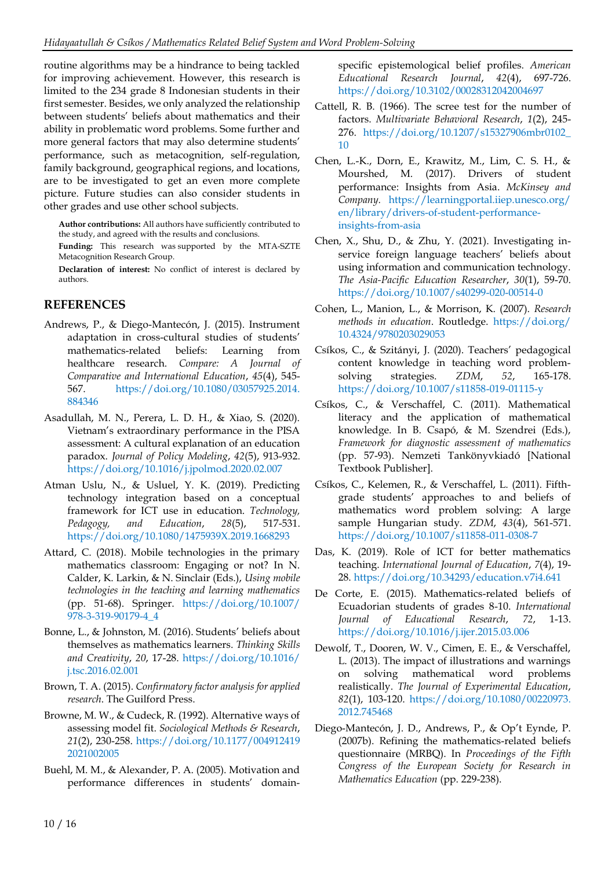routine algorithms may be a hindrance to being tackled for improving achievement. However, this research is limited to the 234 grade 8 Indonesian students in their first semester. Besides, we only analyzed the relationship between students' beliefs about mathematics and their ability in problematic word problems. Some further and more general factors that may also determine students' performance, such as metacognition, self-regulation, family background, geographical regions, and locations, are to be investigated to get an even more complete picture. Future studies can also consider students in other grades and use other school subjects.

**Author contributions:** All authors have sufficiently contributed to the study, and agreed with the results and conclusions.

**Funding:** This research was supported by the MTA-SZTE Metacognition Research Group.

**Declaration of interest:** No conflict of interest is declared by authors.

### **REFERENCES**

- Andrews, P., & Diego-Mantecón, J. (2015). Instrument adaptation in cross-cultural studies of students' mathematics-related beliefs: Learning from healthcare research. *Compare: A Journal of Comparative and International Education*, *45*(4), 545- 567. [https://doi.org/10.1080/03057925.2014.](https://doi.org/10.1080/03057925.2014.884346) [884346](https://doi.org/10.1080/03057925.2014.884346)
- Asadullah, M. N., Perera, L. D. H., & Xiao, S. (2020). Vietnam's extraordinary performance in the PISA assessment: A cultural explanation of an education paradox. *Journal of Policy Modeling*, *42*(5), 913-932. <https://doi.org/10.1016/j.jpolmod.2020.02.007>
- Atman Uslu, N., & Usluel, Y. K. (2019). Predicting technology integration based on a conceptual framework for ICT use in education. *Technology, Pedagogy, and Education*, *28*(5), 517-531. <https://doi.org/10.1080/1475939X.2019.1668293>
- Attard, C. (2018). Mobile technologies in the primary mathematics classroom: Engaging or not? In N. Calder, K. Larkin, & N. Sinclair (Eds.), *Using mobile technologies in the teaching and learning mathematics* (pp. 51-68). Springer. [https://doi.org/10.1007/](https://doi.org/10.1007/978-3-319-90179-4_4) [978-3-319-90179-4\\_4](https://doi.org/10.1007/978-3-319-90179-4_4)
- Bonne, L., & Johnston, M. (2016). Students' beliefs about themselves as mathematics learners. *Thinking Skills and Creativity*, *20*, 17-28. [https://doi.org/10.1016/](https://doi.org/10.1016/j.tsc.2016.02.001) [j.tsc.2016.02.001](https://doi.org/10.1016/j.tsc.2016.02.001)
- Brown, T. A. (2015). *Confirmatory factor analysis for applied research*. The Guilford Press.
- Browne, M. W., & Cudeck, R. (1992). Alternative ways of assessing model fit. *Sociological Methods & Research*, *21*(2), 230-258. [https://doi.org/10.1177/004912419](https://doi.org/10.1177/0049124192021002005) [2021002005](https://doi.org/10.1177/0049124192021002005)
- Buehl, M. M., & Alexander, P. A. (2005). Motivation and performance differences in students' domain-

specific epistemological belief profiles. *American Educational Research Journal*, *42*(4), 697-726. <https://doi.org/10.3102/00028312042004697>

- Cattell, R. B. (1966). The scree test for the number of factors. *Multivariate Behavioral Research*, *1*(2), 245- 276. [https://doi.org/10.1207/s15327906mbr0102\\_](https://doi.org/10.1207/s15327906mbr0102_10) [10](https://doi.org/10.1207/s15327906mbr0102_10)
- Chen, L.-K., Dorn, E., Krawitz, M., Lim, C. S. H., & Mourshed, M. (2017). Drivers of student performance: Insights from Asia. *McKinsey and Company.* [https://learningportal.iiep.unesco.org/](https://learningportal.iiep.unesco.org/en/library/drivers-of-student-performance-insights-from-asia) [en/library/drivers-of-student-performance](https://learningportal.iiep.unesco.org/en/library/drivers-of-student-performance-insights-from-asia)[insights-from-asia](https://learningportal.iiep.unesco.org/en/library/drivers-of-student-performance-insights-from-asia)
- Chen, X., Shu, D., & Zhu, Y. (2021). Investigating inservice foreign language teachers' beliefs about using information and communication technology. *The Asia-Pacific Education Researcher*, *30*(1), 59-70. <https://doi.org/10.1007/s40299-020-00514-0>
- Cohen, L., Manion, L., & Morrison, K. (2007). *Research methods in education*. Routledge. [https://doi.org/](https://doi.org/10.4324/9780203029053) [10.4324/9780203029053](https://doi.org/10.4324/9780203029053)
- Csíkos, C., & Szitányi, J. (2020). Teachers' pedagogical content knowledge in teaching word problemsolving strategies. *ZDM*, *52*, 165-178. <https://doi.org/10.1007/s11858-019-01115-y>
- Csíkos, C., & Verschaffel, C. (2011). Mathematical literacy and the application of mathematical knowledge. In B. Csapó, & M. Szendrei (Eds.), *Framework for diagnostic assessment of mathematics* (pp. 57-93). Nemzeti Tankönyvkiadó [National Textbook Publisher].
- Csíkos, C., Kelemen, R., & Verschaffel, L. (2011). Fifthgrade students' approaches to and beliefs of mathematics word problem solving: A large sample Hungarian study. *ZDM*, *43*(4), 561-571. <https://doi.org/10.1007/s11858-011-0308-7>
- Das, K. (2019). Role of ICT for better mathematics teaching. *International Journal of Education*, *7*(4), 19- 28[. https://doi.org/10.34293/education.v7i4.641](https://doi.org/10.34293/education.v7i4.641)
- De Corte, E. (2015). Mathematics-related beliefs of Ecuadorian students of grades 8-10. *International Journal of Educational Research*, *72*, 1-13. <https://doi.org/10.1016/j.ijer.2015.03.006>
- Dewolf, T., Dooren, W. V., Cimen, E. E., & Verschaffel, L. (2013). The impact of illustrations and warnings on solving mathematical word problems realistically. *The Journal of Experimental Education*, *82*(1), 103-120. [https://doi.org/10.1080/00220973.](https://doi.org/10.1080/00220973.2012.745468) [2012.745468](https://doi.org/10.1080/00220973.2012.745468)
- Diego-Mantecón, J. D., Andrews, P., & Op't Eynde, P. (2007b). Refining the mathematics-related beliefs questionnaire (MRBQ). In *Proceedings of the Fifth Congress of the European Society for Research in Mathematics Education* (pp. 229-238).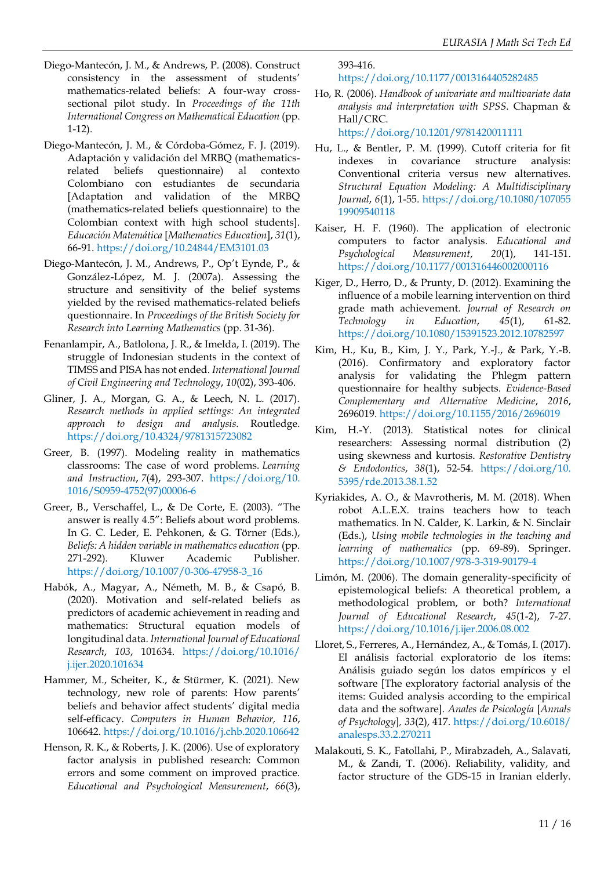- Diego-Mantecón, J. M., & Andrews, P. (2008). Construct consistency in the assessment of students' mathematics-related beliefs: A four-way crosssectional pilot study. In *Proceedings of the 11th International Congress on Mathematical Education* (pp. 1-12).
- Diego-Mantecón, J. M., & Córdoba-Gómez, F. J. (2019). Adaptación y validación del MRBQ (mathematicsrelated beliefs questionnaire) al contexto Colombiano con estudiantes de secundaria [Adaptation and validation of the MRBQ (mathematics-related beliefs questionnaire) to the Colombian context with high school students]. *Educación Matemática* [*Mathematics Education*], *31*(1), 66-91[. https://doi.org/10.24844/EM3101.03](https://doi.org/10.24844/EM3101.03)
- Diego-Mantecón, J. M., Andrews, P., Op't Eynde, P., & González-López, M. J. (2007a). Assessing the structure and sensitivity of the belief systems yielded by the revised mathematics-related beliefs questionnaire. In *Proceedings of the British Society for Research into Learning Mathematics* (pp. 31-36).
- Fenanlampir, A., Batlolona, J. R., & Imelda, I. (2019). The struggle of Indonesian students in the context of TIMSS and PISA has not ended. *International Journal of Civil Engineering and Technology*, *10*(02), 393-406.
- Gliner, J. A., Morgan, G. A., & Leech, N. L. (2017). *Research methods in applied settings: An integrated approach to design and analysis*. Routledge. <https://doi.org/10.4324/9781315723082>
- Greer, B. (1997). Modeling reality in mathematics classrooms: The case of word problems. *Learning and Instruction*, *7*(4), 293-307. [https://doi.org/10.](https://doi.org/10.1016/S0959-4752(97)00006-6) [1016/S0959-4752\(97\)00006-6](https://doi.org/10.1016/S0959-4752(97)00006-6)
- Greer, B., Verschaffel, L., & De Corte, E. (2003). "The answer is really 4.5": Beliefs about word problems. In G. C. Leder, E. Pehkonen, & G. Törner (Eds.), *Beliefs: A hidden variable in mathematics education* (pp. 271-292). Kluwer Academic Publisher. [https://doi.org/10.1007/0-306-47958-3\\_16](https://doi.org/10.1007/0-306-47958-3_16)
- Habók, A., Magyar, A., Németh, M. B., & Csapó, B. (2020). Motivation and self-related beliefs as predictors of academic achievement in reading and mathematics: Structural equation models of longitudinal data. *International Journal of Educational Research*, *103*, 101634. [https://doi.org/10.1016/](https://doi.org/10.1016/j.ijer.2020.101634) [j.ijer.2020.101634](https://doi.org/10.1016/j.ijer.2020.101634)
- Hammer, M., Scheiter, K., & Stürmer, K. (2021). New technology, new role of parents: How parents' beliefs and behavior affect students' digital media self-efficacy. *Computers in Human Behavior, 116*, 106642. <https://doi.org/10.1016/j.chb.2020.106642>
- Henson, R. K., & Roberts, J. K. (2006). Use of exploratory factor analysis in published research: Common errors and some comment on improved practice. *Educational and Psychological Measurement*, *66*(3),

393-416.

<https://doi.org/10.1177/0013164405282485>

Ho, R. (2006). *Handbook of univariate and multivariate data analysis and interpretation with SPSS*. Chapman & Hall/CRC.

<https://doi.org/10.1201/9781420011111>

- Hu, L., & Bentler, P. M. (1999). Cutoff criteria for fit indexes in covariance structure analysis: Conventional criteria versus new alternatives. *Structural Equation Modeling: A Multidisciplinary Journal*, *6*(1), 1-55. [https://doi.org/10.1080/107055](https://doi.org/10.1080/10705519909540118) [19909540118](https://doi.org/10.1080/10705519909540118)
- Kaiser, H. F. (1960). The application of electronic computers to factor analysis. *Educational and Psychological Measurement*, *20*(1), 141-151. <https://doi.org/10.1177/001316446002000116>
- Kiger, D., Herro, D., & Prunty, D. (2012). Examining the influence of a mobile learning intervention on third grade math achievement. *Journal of Research on Technology in Education*, *45*(1), 61-82. <https://doi.org/10.1080/15391523.2012.10782597>
- Kim, H., Ku, B., Kim, J. Y., Park, Y.-J., & Park, Y.-B. (2016). Confirmatory and exploratory factor analysis for validating the Phlegm pattern questionnaire for healthy subjects. *Evidence-Based Complementary and Alternative Medicine*, *2016*, 2696019[. https://doi.org/10.1155/2016/2696019](https://doi.org/10.1155/2016/2696019)
- Kim, H.-Y. (2013). Statistical notes for clinical researchers: Assessing normal distribution (2) using skewness and kurtosis. *Restorative Dentistry & Endodontics*, *38*(1), 52-54. [https://doi.org/10.](https://doi.org/10.5395/rde.2013.38.1.52) [5395/rde.2013.38.1.52](https://doi.org/10.5395/rde.2013.38.1.52)
- Kyriakides, A. O., & Mavrotheris, M. M. (2018). When robot A.L.E.X. trains teachers how to teach mathematics. In N. Calder, K. Larkin, & N. Sinclair (Eds.), *Using mobile technologies in the teaching and learning of mathematics* (pp. 69-89). Springer. <https://doi.org/10.1007/978-3-319-90179-4>
- Limón, M. (2006). The domain generality-specificity of epistemological beliefs: A theoretical problem, a methodological problem, or both? *International Journal of Educational Research*, *45*(1-2), 7-27. <https://doi.org/10.1016/j.ijer.2006.08.002>
- Lloret, S., Ferreres, A., Hernández, A., & Tomás, I. (2017). El análisis factorial exploratorio de los ítems: Análisis guiado según los datos empíricos y el software [The exploratory factorial analysis of the items: Guided analysis according to the empirical data and the software]. *Anales de Psicología* [*Annals of Psychology*]*, 33*(2), 417. [https://doi.org/10.6018/](https://doi.org/10.6018/analesps.33.2.270211) [analesps.33.2.270211](https://doi.org/10.6018/analesps.33.2.270211)
- Malakouti, S. K., Fatollahi, P., Mirabzadeh, A., Salavati, M., & Zandi, T. (2006). Reliability, validity, and factor structure of the GDS-15 in Iranian elderly.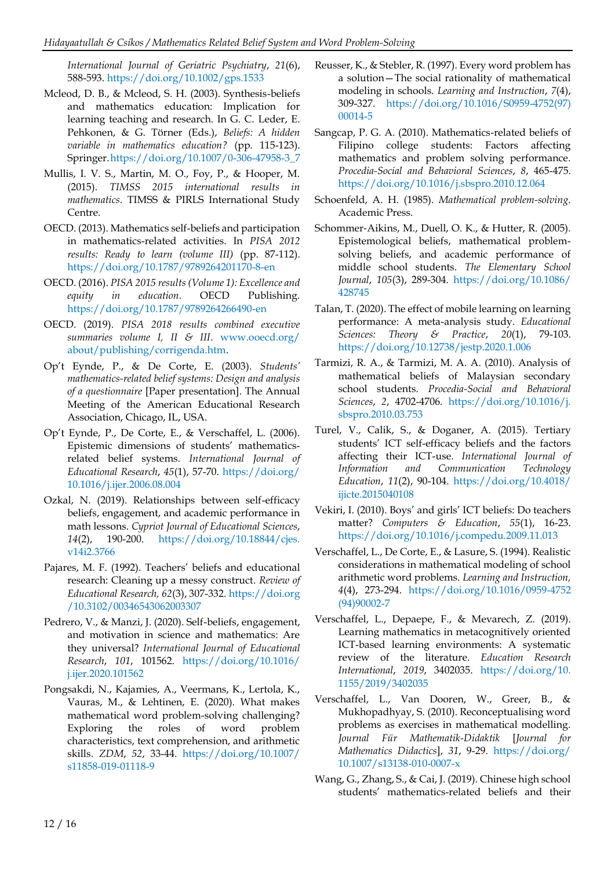*International Journal of Geriatric Psychiatry*, *21*(6), 588-593[. https://doi.org/10.1002/gps.1533](https://doi.org/10.1002/gps.1533)

- Mcleod, D. B., & Mcleod, S. H. (2003). Synthesis-beliefs and mathematics education: Implication for learning teaching and research. In G. C. Leder, E. Pehkonen, & G. Törner (Eds.), *Beliefs: A hidden variable in mathematics education?* (pp. 115-123). Springer[.https://doi.org/10.1007/0-306-47958-3\\_7](https://doi.org/10.1007/0-306-47958-3_7)
- Mullis, I. V. S., Martin, M. O., Foy, P., & Hooper, M. (2015). *TIMSS 2015 international results in mathematics*. TIMSS & PIRLS International Study Centre.
- OECD. (2013). Mathematics self-beliefs and participation in mathematics-related activities. In *PISA 2012 results: Ready to learn (volume III)* (pp. 87-112). <https://doi.org/10.1787/9789264201170-8-en>
- OECD. (2016). *PISA 2015 results (Volume 1): Excellence and equity in education*. OECD Publishing. <https://doi.org/10.1787/9789264266490-en>
- OECD. (2019). *PISA 2018 results combined executive summaries volume I, II & III*. [www.ooecd.org/](http://www.ooecd.org/about/publishing/corrigenda.htm) [about/publishing/corrigenda.htm.](http://www.ooecd.org/about/publishing/corrigenda.htm)
- Op't Eynde, P., & De Corte, E. (2003). *Students' mathematics-related belief systems: Design and analysis of a questionnaire* [Paper presentation]. The Annual Meeting of the American Educational Research Association, Chicago, IL, USA.
- Op't Eynde, P., De Corte, E., & Verschaffel, L. (2006). Epistemic dimensions of students' mathematicsrelated belief systems. *International Journal of Educational Research*, *45*(1), 57-70. [https://doi.org/](https://doi.org/10.1016/j.ijer.2006.08.004) [10.1016/j.ijer.2006.08.004](https://doi.org/10.1016/j.ijer.2006.08.004)
- Ozkal, N. (2019). Relationships between self-efficacy beliefs, engagement, and academic performance in math lessons. *Cypriot Journal of Educational Sciences*, *14*(2), 190-200. [https://doi.org/10.18844/cjes.](https://doi.org/10.18844/cjes.v14i2.3766) [v14i2.3766](https://doi.org/10.18844/cjes.v14i2.3766)
- Pajares, M. F. (1992). Teachers' beliefs and educational research: Cleaning up a messy construct. *Review of Educational Research, 62*(3), 307-332. [https://doi.org](https://doi.org/10.3102/00346543062003307) [/10.3102/00346543062003307](https://doi.org/10.3102/00346543062003307)
- Pedrero, V., & Manzi, J. (2020). Self-beliefs, engagement, and motivation in science and mathematics: Are they universal? *International Journal of Educational Research*, *101*, 101562. [https://doi.org/10.1016/](https://doi.org/10.1016/j.ijer.2020.101562) [j.ijer.2020.101562](https://doi.org/10.1016/j.ijer.2020.101562)
- Pongsakdi, N., Kajamies, A., Veermans, K., Lertola, K., Vauras, M., & Lehtinen, E. (2020). What makes mathematical word problem-solving challenging? Exploring the roles of word problem characteristics, text comprehension, and arithmetic skills. *ZDM*, *52*, 33-44. [https://doi.org/10.1007/](https://doi.org/10.1007/s11858-019-01118-9) [s11858-019-01118-9](https://doi.org/10.1007/s11858-019-01118-9)
- Reusser, K., & Stebler, R. (1997). Every word problem has a solution—The social rationality of mathematical modeling in schools. *Learning and Instruction*, *7*(4), 309-327. [https://doi.org/10.1016/S0959-4752\(97\)](https://doi.org/10.1016/S0959-4752(97)00014-5) [00014-5](https://doi.org/10.1016/S0959-4752(97)00014-5)
- Sangcap, P. G. A. (2010). Mathematics-related beliefs of Filipino college students: Factors affecting mathematics and problem solving performance. *Procedia-Social and Behavioral Sciences*, *8*, 465-475. <https://doi.org/10.1016/j.sbspro.2010.12.064>
- Schoenfeld, A. H. (1985). *Mathematical problem-solving.* Academic Press.
- Schommer‐Aikins, M., Duell, O. K., & Hutter, R. (2005). Epistemological beliefs, mathematical problemsolving beliefs, and academic performance of middle school students. *The Elementary School Journal*, *105*(3), 289-304. [https://doi.org/10.1086/](https://doi.org/10.1086/428745) [428745](https://doi.org/10.1086/428745)
- Talan, T. (2020). The effect of mobile learning on learning performance: A meta-analysis study. *Educational Sciences: Theory & Practice*, *20*(1), 79-103. <https://doi.org/10.12738/jestp.2020.1.006>
- Tarmizi, R. A., & Tarmizi, M. A. A. (2010). Analysis of mathematical beliefs of Malaysian secondary school students. *Procedia-Social and Behavioral Sciences*, *2*, 4702-4706. [https://doi.org/10.1016/j.](https://doi.org/10.1016/j.sbspro.2010.03.753) [sbspro.2010.03.753](https://doi.org/10.1016/j.sbspro.2010.03.753)
- Turel, V., Calik, S., & Doganer, A. (2015). Tertiary students' ICT self-efficacy beliefs and the factors affecting their ICT-use. *International Journal of Information and Communication Technology Education*, *11*(2), 90-104. [https://doi.org/10.4018/](https://doi.org/10.4018/ijicte.2015040108) [ijicte.2015040108](https://doi.org/10.4018/ijicte.2015040108)
- Vekiri, I. (2010). Boys' and girls' ICT beliefs: Do teachers matter? *Computers & Education*, *55*(1), 16-23. <https://doi.org/10.1016/j.compedu.2009.11.013>
- Verschaffel, L., De Corte, E., & Lasure, S. (1994). Realistic considerations in mathematical modeling of school arithmetic word problems. *Learning and Instruction, 4*(4), 273-294. [https://doi.org/10.1016/0959-4752](https://doi.org/10.1016/0959-4752(94)90002-7) [\(94\)90002-7](https://doi.org/10.1016/0959-4752(94)90002-7)
- Verschaffel, L., Depaepe, F., & Mevarech, Z. (2019). Learning mathematics in metacognitively oriented ICT-based learning environments: A systematic review of the literature. *Education Research International*, *2019*, 3402035. [https://doi.org/10.](https://doi.org/10.1155/2019/3402035) [1155/2019/3402035](https://doi.org/10.1155/2019/3402035)
- Verschaffel, L., Van Dooren, W., Greer, B., & Mukhopadhyay, S. (2010). Reconceptualising word problems as exercises in mathematical modelling. *Journal Für Mathematik-Didaktik* [*Journal for Mathematics Didactics*], *31*, 9-29. [https://doi.org/](https://doi.org/10.1007/s13138-010-0007-x) [10.1007/s13138-010-0007-x](https://doi.org/10.1007/s13138-010-0007-x)
- Wang, G., Zhang, S., & Cai, J. (2019). Chinese high school students' mathematics-related beliefs and their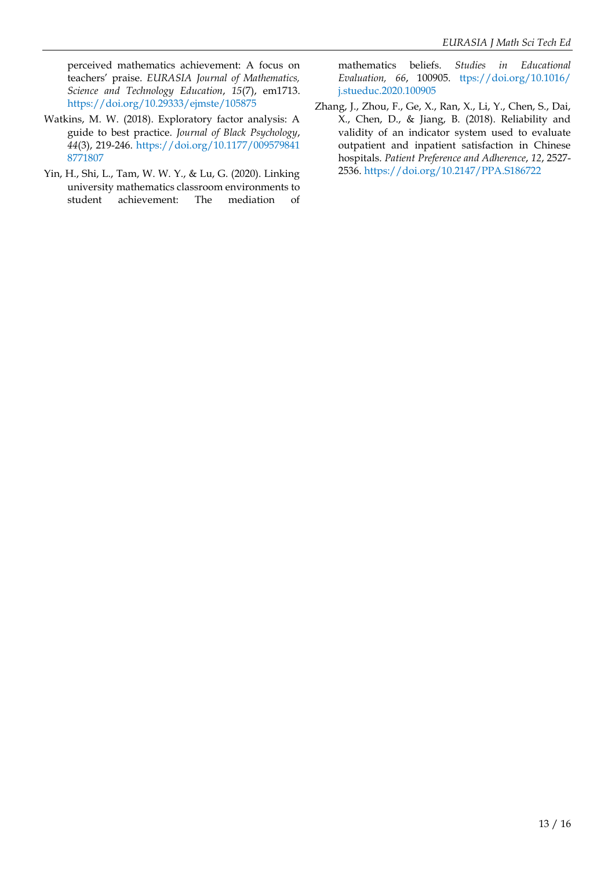perceived mathematics achievement: A focus on teachers' praise. *EURASIA Journal of Mathematics, Science and Technology Education*, *15*(7), em1713. <https://doi.org/10.29333/ejmste/105875>

- Watkins, M. W. (2018). Exploratory factor analysis: A guide to best practice. *Journal of Black Psychology*, *44*(3), 219-246. [https://doi.org/10.1177/009579841](https://doi.org/10.1177/0095798418771807) [8771807](https://doi.org/10.1177/0095798418771807)
- Yin, H., Shi, L., Tam, W. W. Y., & Lu, G. (2020). Linking university mathematics classroom environments to student achievement: The mediation of

mathematics beliefs. *Studies in Educational Evaluation, 66*, 100905. [ttps://doi.org/10.1016/](https://doi.org/10.1016/j.stueduc.2020.100905) [j.stueduc.2020.100905](https://doi.org/10.1016/j.stueduc.2020.100905)

Zhang, J., Zhou, F., Ge, X., Ran, X., Li, Y., Chen, S., Dai, X., Chen, D., & Jiang, B. (2018). Reliability and validity of an indicator system used to evaluate outpatient and inpatient satisfaction in Chinese hospitals. *Patient Preference and Adherence*, *12*, 2527- 2536[. https://doi.org/10.2147/PPA.S186722](https://doi.org/10.2147/PPA.S186722)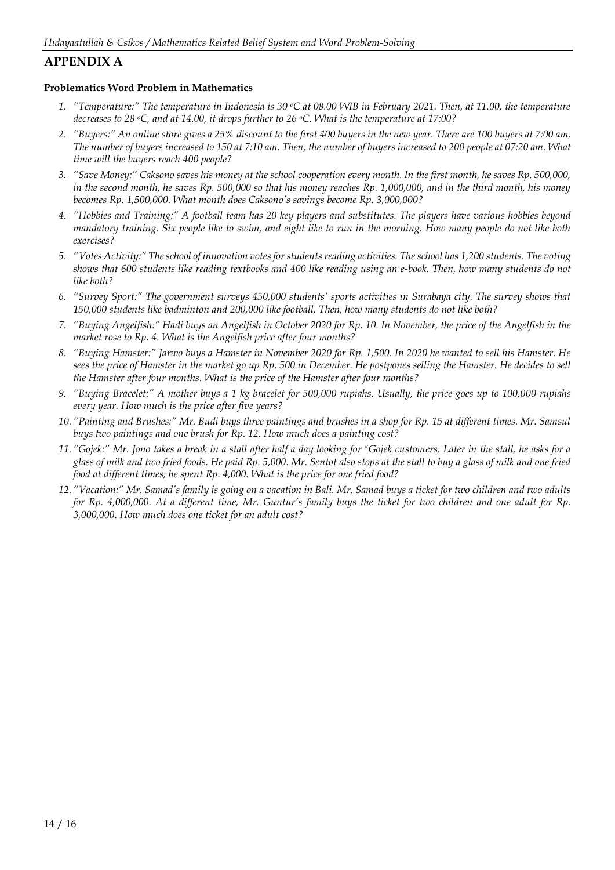## **APPENDIX A**

### **Problematics Word Problem in Mathematics**

- *1. "Temperature:" The temperature in Indonesia is 30 oC at 08.00 WIB in February 2021. Then, at 11.00, the temperature decreases to 28 oC, and at 14.00, it drops further to 26 oC. What is the temperature at 17:00?*
- *2. "Buyers:" An online store gives a 25% discount to the first 400 buyers in the new year. There are 100 buyers at 7:00 am. The number of buyers increased to 150 at 7:10 am. Then, the number of buyers increased to 200 people at 07:20 am. What time will the buyers reach 400 people?*
- *3. "Save Money:" Caksono saves his money at the school cooperation every month. In the first month, he saves Rp. 500,000,*  in the second month, he saves Rp. 500,000 so that his money reaches Rp. 1,000,000, and in the third month, his money *becomes Rp. 1,500,000. What month does Caksono's savings become Rp. 3,000,000?*
- *4. "Hobbies and Training:" A football team has 20 key players and substitutes. The players have various hobbies beyond mandatory training. Six people like to swim, and eight like to run in the morning. How many people do not like both exercises?*
- *5. "Votes Activity:" The school of innovation votes for students reading activities. The school has 1,200 students. The voting shows that 600 students like reading textbooks and 400 like reading using an e-book. Then, how many students do not like both?*
- *6. "Survey Sport:" The government surveys 450,000 students' sports activities in Surabaya city. The survey shows that 150,000 students like badminton and 200,000 like football. Then, how many students do not like both?*
- *7. "Buying Angelfish:" Hadi buys an Angelfish in October 2020 for Rp. 10. In November, the price of the Angelfish in the market rose to Rp. 4. What is the Angelfish price after four months?*
- *8. "Buying Hamster:" Jarwo buys a Hamster in November 2020 for Rp. 1,500. In 2020 he wanted to sell his Hamster. He sees the price of Hamster in the market go up Rp. 500 in December. He postpones selling the Hamster. He decides to sell the Hamster after four months. What is the price of the Hamster after four months?*
- *9. "Buying Bracelet:" A mother buys a 1 kg bracelet for 500,000 rupiahs. Usually, the price goes up to 100,000 rupiahs every year. How much is the price after five years?*
- *10. "Painting and Brushes:" Mr. Budi buys three paintings and brushes in a shop for Rp. 15 at different times. Mr. Samsul buys two paintings and one brush for Rp. 12. How much does a painting cost?*
- *11. "Gojek:" Mr. Jono takes a break in a stall after half a day looking for \*Gojek customers. Later in the stall, he asks for a glass of milk and two fried foods. He paid Rp. 5,000. Mr. Sentot also stops at the stall to buy a glass of milk and one fried food at different times; he spent Rp. 4,000. What is the price for one fried food?*
- *12. "Vacation:" Mr. Samad's family is going on a vacation in Bali. Mr. Samad buys a ticket for two children and two adults for Rp. 4,000,000. At a different time, Mr. Guntur's family buys the ticket for two children and one adult for Rp. 3,000,000. How much does one ticket for an adult cost?*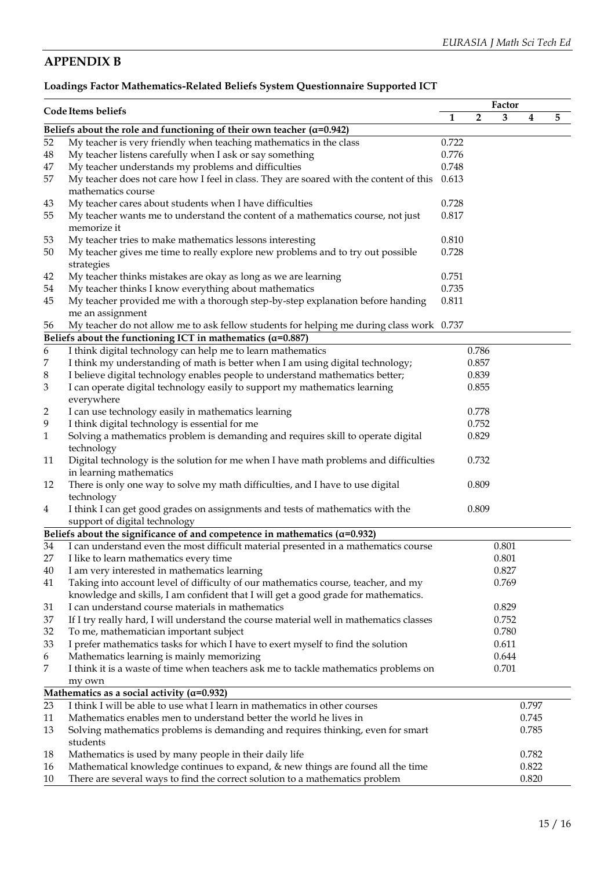## **APPENDIX B**

## **Loadings Factor Mathematics-Related Beliefs System Questionnaire Supported ICT**

|          |                                                                                          |       | Factor         |       |       |   |
|----------|------------------------------------------------------------------------------------------|-------|----------------|-------|-------|---|
|          | Code Items beliefs                                                                       | 1     | $\overline{2}$ | 3     | 4     | 5 |
|          | Beliefs about the role and functioning of their own teacher ( $\alpha$ =0.942)           |       |                |       |       |   |
| 52       | My teacher is very friendly when teaching mathematics in the class                       | 0.722 |                |       |       |   |
| $\rm 48$ | My teacher listens carefully when I ask or say something                                 | 0.776 |                |       |       |   |
| 47       | My teacher understands my problems and difficulties                                      | 0.748 |                |       |       |   |
| 57       | My teacher does not care how I feel in class. They are soared with the content of this   | 0.613 |                |       |       |   |
|          | mathematics course                                                                       |       |                |       |       |   |
| 43       | My teacher cares about students when I have difficulties                                 | 0.728 |                |       |       |   |
| 55       | My teacher wants me to understand the content of a mathematics course, not just          | 0.817 |                |       |       |   |
|          | memorize it                                                                              |       |                |       |       |   |
| 53       | My teacher tries to make mathematics lessons interesting                                 | 0.810 |                |       |       |   |
| 50       | My teacher gives me time to really explore new problems and to try out possible          | 0.728 |                |       |       |   |
|          | strategies                                                                               |       |                |       |       |   |
| 42       | My teacher thinks mistakes are okay as long as we are learning                           | 0.751 |                |       |       |   |
| 54       | My teacher thinks I know everything about mathematics                                    | 0.735 |                |       |       |   |
| 45       | My teacher provided me with a thorough step-by-step explanation before handing           | 0.811 |                |       |       |   |
|          | me an assignment                                                                         |       |                |       |       |   |
| 56       | My teacher do not allow me to ask fellow students for helping me during class work 0.737 |       |                |       |       |   |
|          | Beliefs about the functioning ICT in mathematics ( $\alpha$ =0.887)                      |       |                |       |       |   |
| 6        | I think digital technology can help me to learn mathematics                              |       | 0.786          |       |       |   |
| 7        | I think my understanding of math is better when I am using digital technology;           |       | 0.857          |       |       |   |
| 8        | I believe digital technology enables people to understand mathematics better;            |       | 0.839          |       |       |   |
| 3        | I can operate digital technology easily to support my mathematics learning               |       | 0.855          |       |       |   |
|          | everywhere                                                                               |       |                |       |       |   |
| 2        | I can use technology easily in mathematics learning                                      |       | 0.778          |       |       |   |
| 9        | I think digital technology is essential for me                                           |       | 0.752          |       |       |   |
| 1        | Solving a mathematics problem is demanding and requires skill to operate digital         |       | 0.829          |       |       |   |
|          | technology                                                                               |       |                |       |       |   |
| 11       | Digital technology is the solution for me when I have math problems and difficulties     |       | 0.732          |       |       |   |
|          | in learning mathematics                                                                  |       |                |       |       |   |
| 12       | There is only one way to solve my math difficulties, and I have to use digital           |       | 0.809          |       |       |   |
|          | technology                                                                               |       |                |       |       |   |
| 4        | I think I can get good grades on assignments and tests of mathematics with the           |       | 0.809          |       |       |   |
|          | support of digital technology                                                            |       |                |       |       |   |
|          | Beliefs about the significance of and competence in mathematics ( $\alpha$ =0.932)       |       |                |       |       |   |
| 34       | I can understand even the most difficult material presented in a mathematics course      |       |                | 0.801 |       |   |
| 27       | I like to learn mathematics every time                                                   |       |                | 0.801 |       |   |
| 40       | I am very interested in mathematics learning                                             |       |                | 0.827 |       |   |
| 41       | Taking into account level of difficulty of our mathematics course, teacher, and my       |       |                | 0.769 |       |   |
|          | knowledge and skills, I am confident that I will get a good grade for mathematics.       |       |                |       |       |   |
| 31       | I can understand course materials in mathematics                                         |       |                | 0.829 |       |   |
| 37       | If I try really hard, I will understand the course material well in mathematics classes  |       |                | 0.752 |       |   |
| 32       | To me, mathematician important subject                                                   |       |                | 0.780 |       |   |
| 33       | I prefer mathematics tasks for which I have to exert myself to find the solution         |       |                | 0.611 |       |   |
| 6        | Mathematics learning is mainly memorizing                                                |       |                | 0.644 |       |   |
| 7        | I think it is a waste of time when teachers ask me to tackle mathematics problems on     |       |                | 0.701 |       |   |
|          | my own                                                                                   |       |                |       |       |   |
|          | Mathematics as a social activity ( $\alpha$ =0.932)                                      |       |                |       |       |   |
| 23       | I think I will be able to use what I learn in mathematics in other courses               |       |                |       | 0.797 |   |
| 11       | Mathematics enables men to understand better the world he lives in                       |       |                |       | 0.745 |   |
| 13       | Solving mathematics problems is demanding and requires thinking, even for smart          |       |                |       | 0.785 |   |
|          | students                                                                                 |       |                |       |       |   |
| 18       | Mathematics is used by many people in their daily life                                   |       |                |       | 0.782 |   |
| 16       | Mathematical knowledge continues to expand, & new things are found all the time          |       |                |       | 0.822 |   |
| 10       | There are several ways to find the correct solution to a mathematics problem             |       |                |       | 0.820 |   |